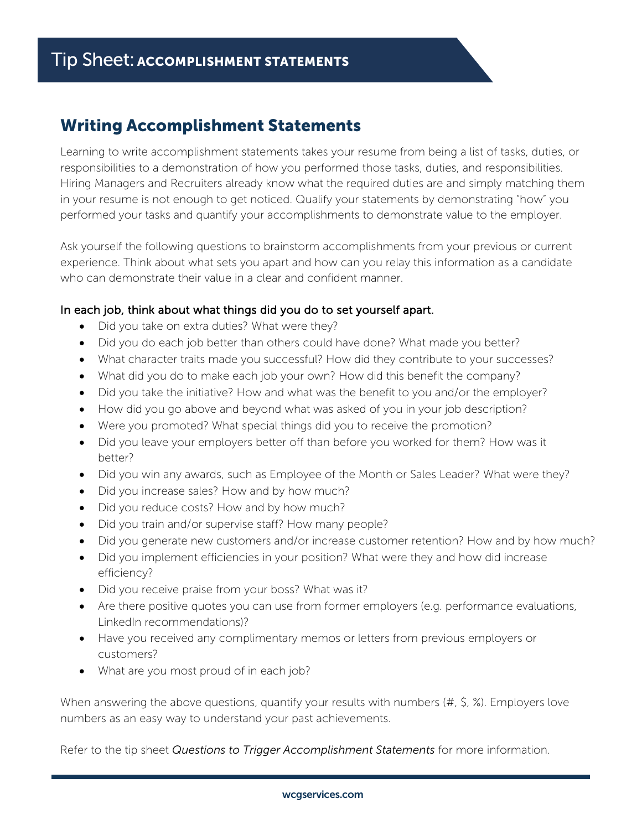## Writing Accomplishment Statements

Learning to write accomplishment statements takes your resume from being a list of tasks, duties, or responsibilities to a demonstration of how you performed those tasks, duties, and responsibilities. Hiring Managers and Recruiters already know what the required duties are and simply matching them in your resume is not enough to get noticed. Qualify your statements by demonstrating "how" you performed your tasks and quantify your accomplishments to demonstrate value to the employer.

Ask yourself the following questions to brainstorm accomplishments from your previous or current experience. Think about what sets you apart and how can you relay this information as a candidate who can demonstrate their value in a clear and confident manner.

## In each job, think about what things did you do to set yourself apart.

- Did you take on extra duties? What were they?
- Did you do each job better than others could have done? What made you better?
- What character traits made you successful? How did they contribute to your successes?
- What did you do to make each job your own? How did this benefit the company?
- Did you take the initiative? How and what was the benefit to you and/or the employer?
- How did you go above and beyond what was asked of you in your job description?
- Were you promoted? What special things did you to receive the promotion?
- Did you leave your employers better off than before you worked for them? How was it better?
- Did you win any awards, such as Employee of the Month or Sales Leader? What were they?
- Did you increase sales? How and by how much?
- Did you reduce costs? How and by how much?
- Did you train and/or supervise staff? How many people?
- Did you generate new customers and/or increase customer retention? How and by how much?
- Did you implement efficiencies in your position? What were they and how did increase efficiency?
- Did you receive praise from your boss? What was it?
- Are there positive quotes you can use from former employers (e.g. performance evaluations, LinkedIn recommendations)?
- Have you received any complimentary memos or letters from previous employers or customers?
- What are you most proud of in each job?

When answering the above questions, quantify your results with numbers (#, \$, %). Employers love numbers as an easy way to understand your past achievements.

Refer to the tip sheet *Questions to Trigger Accomplishment Statements* for more information.